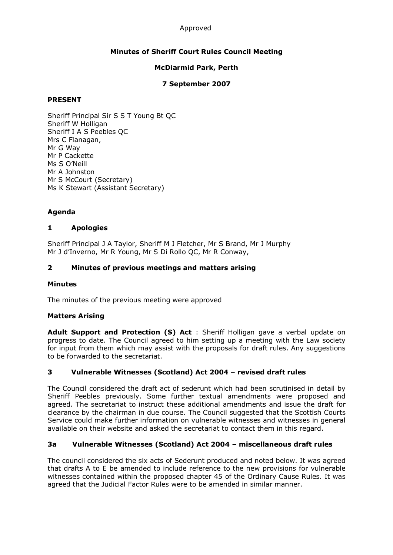#### Approved

# **Minutes of Sheriff Court Rules Council Meeting**

## **McDiarmid Park, Perth**

## **7 September 2007**

## **PRESENT**

Sheriff Principal Sir S S T Young Bt QC Sheriff W Holligan Sheriff I A S Peebles QC Mrs C Flanagan, Mr G Way Mr P Cackette Ms S O'Neill Mr A Johnston Mr S McCourt (Secretary) Ms K Stewart (Assistant Secretary)

# **Agenda**

## **1 Apologies**

Sheriff Principal J A Taylor, Sheriff M J Fletcher, Mr S Brand, Mr J Murphy Mr J d'Inverno, Mr R Young, Mr S Di Rollo QC, Mr R Conway,

# **2 Minutes of previous meetings and matters arising**

## **Minutes**

The minutes of the previous meeting were approved

## **Matters Arising**

**Adult Support and Protection (S) Act**  : Sheriff Holligan gave a verbal update on progress to date. The Council agreed to him setting up a meeting with the Law society for input from them which may assist with the proposals for draft rules. Any suggestions to be forwarded to the secretariat.

## **3 Vulnerable Witnesses (Scotland) Act 2004 – revised draft rules**

The Council considered the draft act of sederunt which had been scrutinised in detail by Sheriff Peebles previously. Some further textual amendments were proposed and agreed. The secretariat to instruct these additional amendments and issue the draft for clearance by the chairman in due course. The Council suggested that the Scottish Courts Service could make further information on vulnerable witnesses and witnesses in general available on their website and asked the secretariat to contact them in this regard.

## **3a Vulnerable Witnesses (Scotland) Act 2004 – miscellaneous draft rules**

The council considered the six acts of Sederunt produced and noted below. It was agreed that drafts A to E be amended to include reference to the new provisions for vulnerable witnesses contained within the proposed chapter 45 of the Ordinary Cause Rules. It was agreed that the Judicial Factor Rules were to be amended in similar manner.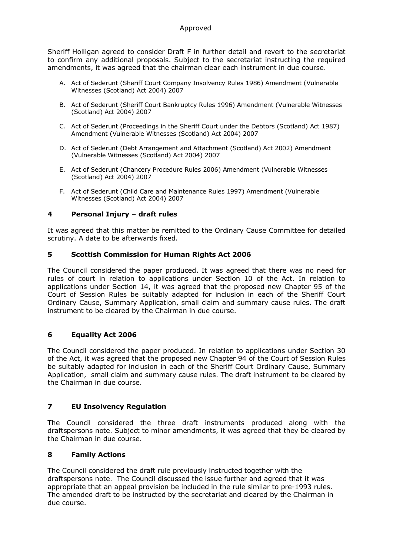Sheriff Holligan agreed to consider Draft F in further detail and revert to the secretariat to confirm any additional proposals. Subject to the secretariat instructing the required amendments, it was agreed that the chairman clear each instrument in due course.

- A. Act of Sederunt (Sheriff Court Company Insolvency Rules 1986) Amendment (Vulnerable Witnesses (Scotland) Act 2004) 2007
- B. Act of Sederunt (Sheriff Court Bankruptcy Rules 1996) Amendment (Vulnerable Witnesses (Scotland) Act 2004) 2007
- C. Act of Sederunt (Proceedings in the Sheriff Court under the Debtors (Scotland) Act 1987) Amendment (Vulnerable Witnesses (Scotland) Act 2004) 2007
- D. Act of Sederunt (Debt Arrangement and Attachment (Scotland) Act 2002) Amendment (Vulnerable Witnesses (Scotland) Act 2004) 2007
- E. Act of Sederunt (Chancery Procedure Rules 2006) Amendment (Vulnerable Witnesses (Scotland) Act 2004) 2007
- F. Act of Sederunt (Child Care and Maintenance Rules 1997) Amendment (Vulnerable Witnesses (Scotland) Act 2004) 2007

## **4 Personal Injury – draft rules**

It was agreed that this matter be remitted to the Ordinary Cause Committee for detailed scrutiny. A date to be afterwards fixed.

#### **5 Scottish Commission for Human Rights Act 2006**

The Council considered the paper produced. It was agreed that there was no need for rules of court in relation to applications under Section 10 of the Act. In relation to applications under Section 14, it was agreed that the proposed new Chapter 95 of the Court of Session Rules be suitably adapted for inclusion in each of the Sheriff Court Ordinary Cause, Summary Application, small claim and summary cause rules. The draft instrument to be cleared by the Chairman in due course.

## **6 Equality Act 2006**

The Council considered the paper produced. In relation to applications under Section 30 of the Act, it was agreed that the proposed new Chapter 94 of the Court of Session Rules be suitably adapted for inclusion in each of the Sheriff Court Ordinary Cause, Summary Application, small claim and summary cause rules. The draft instrument to be cleared by the Chairman in due course.

## **7 EU Insolvency Regulation**

The Council considered the three draft instruments produced along with the draftspersons note. Subject to minor amendments, it was agreed that they be cleared by the Chairman in due course.

## **8 Family Actions**

The Council considered the draft rule previously instructed together with the draftspersons note. The Council discussed the issue further and agreed that it was appropriate that an appeal provision be included in the rule similar to pre-1993 rules. The amended draft to be instructed by the secretariat and cleared by the Chairman in due course.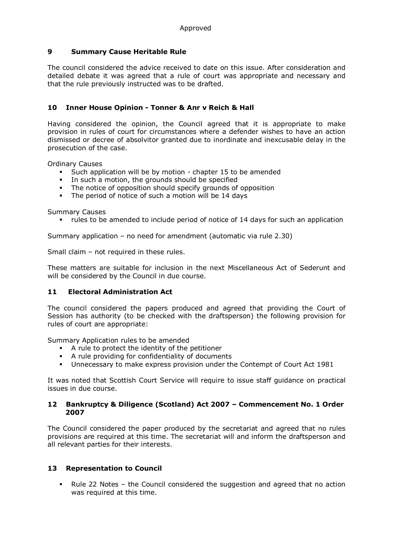## **9 Summary Cause Heritable Rule**

The council considered the advice received to date on this issue. After consideration and detailed debate it was agreed that a rule of court was appropriate and necessary and that the rule previously instructed was to be drafted.

## **10 Inner House Opinion Tonner & Anr v Reich & Hall**

Having considered the opinion, the Council agreed that it is appropriate to make provision in rules of court for circumstances where a defender wishes to have an action dismissed or decree of absolvitor granted due to inordinate and inexcusable delay in the prosecution of the case.

Ordinary Causes

- Such application will be by motion chapter 15 to be amended
- In such a motion, the grounds should be specified
- The notice of opposition should specify grounds of opposition<br>The neriod of notice of such a motion will be 14 days
- The period of notice of such a motion will be 14 days

Summary Causes

rules to be amended to include period of notice of 14 days for such an application

Summary application – no need for amendment (automatic via rule 2.30)

Small claim – not required in these rules.

These matters are suitable for inclusion in the next Miscellaneous Act of Sederunt and will be considered by the Council in due course.

#### **11 Electoral Administration Act**

The council considered the papers produced and agreed that providing the Court of Session has authority (to be checked with the draftsperson) the following provision for rules of court are appropriate:

Summary Application rules to be amended

- ß A rule to protect the identity of the petitioner
- A rule providing for confidentiality of documents
- **•** Unnecessary to make express provision under the Contempt of Court Act 1981

It was noted that Scottish Court Service will require to issue staff guidance on practical issues in due course.

#### **12 Bankruptcy & Diligence (Scotland) Act 2007 – Commencement No. 1 Order 2007**

The Council considered the paper produced by the secretariat and agreed that no rules provisions are required at this time. The secretariat will and inform the draftsperson and all relevant parties for their interests.

#### **13 Representation to Council**

• Rule 22 Notes – the Council considered the suggestion and agreed that no action was required at this time.